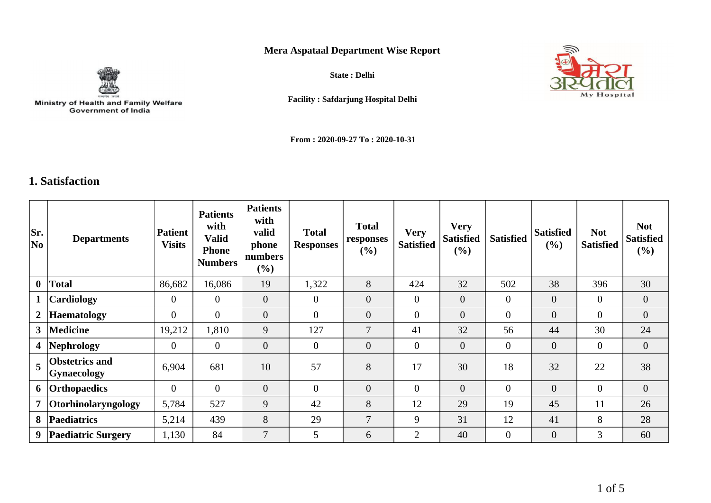## **Mera Aspataal Department Wise Report**



Ministry of Health and Family Welfare<br>Government of India

**State : Delhi**



**Facility : Safdarjung Hospital Delhi**

**From : 2020-09-27 To : 2020-10-31**

## **1. Satisfaction**

| Sr.<br>No               | <b>Departments</b>                          | <b>Patient</b><br><b>Visits</b> | <b>Patients</b><br>with<br>Valid<br><b>Phone</b><br><b>Numbers</b> | <b>Patients</b><br>with<br>valid<br>phone<br>numbers<br>$(\%)$ | <b>Total</b><br><b>Responses</b> | <b>Total</b><br>responses<br>(%) | <b>Very</b><br><b>Satisfied</b> | <b>Very</b><br><b>Satisfied</b><br>$(\%)$ | <b>Satisfied</b> | <b>Satisfied</b><br>(%) | <b>Not</b><br><b>Satisfied</b> | <b>Not</b><br><b>Satisfied</b><br>$(\%)$ |
|-------------------------|---------------------------------------------|---------------------------------|--------------------------------------------------------------------|----------------------------------------------------------------|----------------------------------|----------------------------------|---------------------------------|-------------------------------------------|------------------|-------------------------|--------------------------------|------------------------------------------|
| $\mathbf{0}$            | <b>Total</b>                                | 86,682                          | 16,086                                                             | 19                                                             | 1,322                            | 8                                | 424                             | 32                                        | 502              | 38                      | 396                            | 30                                       |
| $\mathbf{1}$            | Cardiology                                  | $\overline{0}$                  | $\overline{0}$                                                     | $\overline{0}$                                                 | $\theta$                         | $\overline{0}$                   | $\theta$                        | $\overline{0}$                            | $\overline{0}$   | $\overline{0}$          | $\overline{0}$                 | $\overline{0}$                           |
| $2\vert$                | <b>Haematology</b>                          | $\mathbf{0}$                    | $\overline{0}$                                                     | $\overline{0}$                                                 | $\boldsymbol{0}$                 | $\overline{0}$                   | $\mathbf{0}$                    | $\overline{0}$                            | $\overline{0}$   | $\overline{0}$          | $\overline{0}$                 | $\overline{0}$                           |
| 3 <sup>1</sup>          | <b>Medicine</b>                             | 19,212                          | 1,810                                                              | 9                                                              | 127                              | $\overline{7}$                   | 41                              | 32                                        | 56               | 44                      | 30                             | 24                                       |
| $\overline{\mathbf{4}}$ | Nephrology                                  | $\overline{0}$                  | $\overline{0}$                                                     | $\overline{0}$                                                 | $\overline{0}$                   | $\overline{0}$                   | $\overline{0}$                  | $\mathbf{0}$                              | $\overline{0}$   | $\overline{0}$          | $\mathbf{0}$                   | $\overline{0}$                           |
| 5                       | <b>Obstetrics and</b><br><b>Gynaecology</b> | 6,904                           | 681                                                                | 10                                                             | 57                               | 8                                | 17                              | 30                                        | 18               | 32                      | 22                             | 38                                       |
| 6                       | Orthopaedics                                | $\overline{0}$                  | $\Omega$                                                           | $\overline{0}$                                                 | $\overline{0}$                   | $\overline{0}$                   | $\overline{0}$                  | $\overline{0}$                            | $\overline{0}$   | $\overline{0}$          | $\overline{0}$                 | $\overline{0}$                           |
| $\overline{7}$          | <i><b>Otorhinolaryngology</b></i>           | 5,784                           | 527                                                                | 9                                                              | 42                               | 8                                | 12                              | 29                                        | 19               | 45                      | 11                             | 26                                       |
| 8                       | <b>Paediatrics</b>                          | 5,214                           | 439                                                                | 8                                                              | 29                               | $\overline{7}$                   | 9                               | 31                                        | 12               | 41                      | 8                              | 28                                       |
| 9                       | <b>Paediatric Surgery</b>                   | 1,130                           | 84                                                                 | $\overline{7}$                                                 | 5                                | 6                                | 2                               | 40                                        | $\overline{0}$   | $\overline{0}$          | 3                              | 60                                       |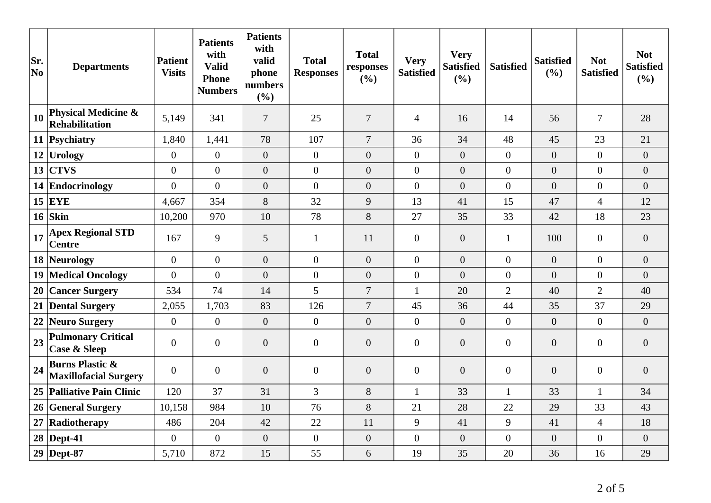| Sr.<br>No | <b>Departments</b>                                         | <b>Patient</b><br><b>Visits</b> | <b>Patients</b><br>with<br><b>Valid</b><br><b>Phone</b><br><b>Numbers</b> | <b>Patients</b><br>with<br>valid<br>phone<br>numbers<br>(%) | <b>Total</b><br><b>Responses</b> | <b>Total</b><br>responses<br>(%) | <b>Very</b><br><b>Satisfied</b> | <b>Very</b><br><b>Satisfied</b><br>(%) | <b>Satisfied</b> | <b>Satisfied</b><br>(%) | <b>Not</b><br><b>Satisfied</b> | <b>Not</b><br><b>Satisfied</b><br>(%) |
|-----------|------------------------------------------------------------|---------------------------------|---------------------------------------------------------------------------|-------------------------------------------------------------|----------------------------------|----------------------------------|---------------------------------|----------------------------------------|------------------|-------------------------|--------------------------------|---------------------------------------|
| 10        | <b>Physical Medicine &amp;</b><br>Rehabilitation           | 5,149                           | 341                                                                       | $\overline{7}$                                              | 25                               | $\tau$                           | $\overline{4}$                  | 16                                     | 14               | 56                      | $\overline{7}$                 | 28                                    |
|           | 11 Psychiatry                                              | 1,840                           | 1,441                                                                     | 78                                                          | 107                              | $\overline{7}$                   | 36                              | 34                                     | 48               | 45                      | 23                             | 21                                    |
|           | 12 Urology                                                 | $\overline{0}$                  | $\overline{0}$                                                            | $\overline{0}$                                              | $\overline{0}$                   | $\overline{0}$                   | $\overline{0}$                  | $\overline{0}$                         | $\overline{0}$   | $\overline{0}$          | $\overline{0}$                 | $\overline{0}$                        |
| 13        | <b>CTVS</b>                                                | $\overline{0}$                  | $\overline{0}$                                                            | $\overline{0}$                                              | $\boldsymbol{0}$                 | $\overline{0}$                   | $\overline{0}$                  | $\overline{0}$                         | $\overline{0}$   | $\overline{0}$          | $\overline{0}$                 | $\overline{0}$                        |
|           | 14 Endocrinology                                           | $\Omega$                        | $\overline{0}$                                                            | $\overline{0}$                                              | $\overline{0}$                   | $\overline{0}$                   | $\overline{0}$                  | $\overline{0}$                         | $\overline{0}$   | $\overline{0}$          | $\overline{0}$                 | $\overline{0}$                        |
|           | $15$ EYE                                                   | 4,667                           | 354                                                                       | 8                                                           | 32                               | 9                                | 13                              | 41                                     | 15               | 47                      | $\overline{4}$                 | 12                                    |
|           | $16$ Skin                                                  | 10,200                          | 970                                                                       | 10                                                          | 78                               | 8                                | 27                              | 35                                     | 33               | 42                      | 18                             | 23                                    |
| 17        | <b>Apex Regional STD</b><br><b>Centre</b>                  | 167                             | 9                                                                         | 5                                                           | $\mathbf{1}$                     | 11                               | $\mathbf{0}$                    | $\boldsymbol{0}$                       | $\mathbf{1}$     | 100                     | $\boldsymbol{0}$               | $\overline{0}$                        |
|           | 18 Neurology                                               | $\overline{0}$                  | $\overline{0}$                                                            | $\overline{0}$                                              | $\overline{0}$                   | $\overline{0}$                   | $\overline{0}$                  | $\overline{0}$                         | $\overline{0}$   | $\overline{0}$          | $\overline{0}$                 | $\overline{0}$                        |
| 19        | <b>Medical Oncology</b>                                    | $\overline{0}$                  | $\overline{0}$                                                            | $\overline{0}$                                              | $\overline{0}$                   | $\overline{0}$                   | $\overline{0}$                  | $\overline{0}$                         | $\overline{0}$   | $\overline{0}$          | $\overline{0}$                 | $\overline{0}$                        |
| 20        | <b>Cancer Surgery</b>                                      | 534                             | 74                                                                        | 14                                                          | 5                                | $\overline{7}$                   | $\mathbf{1}$                    | 20                                     | $\overline{2}$   | 40                      | $\overline{2}$                 | 40                                    |
|           | 21 Dental Surgery                                          | 2,055                           | 1,703                                                                     | 83                                                          | 126                              | $\tau$                           | 45                              | 36                                     | 44               | 35                      | 37                             | 29                                    |
| 22        | Neuro Surgery                                              | $\overline{0}$                  | $\overline{0}$                                                            | $\overline{0}$                                              | $\overline{0}$                   | $\overline{0}$                   | $\overline{0}$                  | $\overline{0}$                         | $\mathbf{0}$     | $\overline{0}$          | $\overline{0}$                 | $\overline{0}$                        |
| 23        | <b>Pulmonary Critical</b><br><b>Case &amp; Sleep</b>       | $\boldsymbol{0}$                | $\mathbf{0}$                                                              | $\overline{0}$                                              | $\overline{0}$                   | $\overline{0}$                   | $\overline{0}$                  | $\overline{0}$                         | $\boldsymbol{0}$ | $\overline{0}$          | $\overline{0}$                 | $\overline{0}$                        |
| 24        | <b>Burns Plastic &amp;</b><br><b>Maxillofacial Surgery</b> | $\overline{0}$                  | $\overline{0}$                                                            | $\overline{0}$                                              | $\boldsymbol{0}$                 | $\overline{0}$                   | $\boldsymbol{0}$                | $\overline{0}$                         | $\overline{0}$   | $\overline{0}$          | $\boldsymbol{0}$               | $\overline{0}$                        |
|           | 25 Palliative Pain Clinic                                  | 120                             | 37                                                                        | 31                                                          | $\overline{3}$                   | 8                                | $\mathbf{1}$                    | 33                                     | $\mathbf{1}$     | 33                      | $\mathbf{1}$                   | 34                                    |
|           | 26 General Surgery                                         | 10,158                          | 984                                                                       | 10                                                          | 76                               | 8                                | 21                              | 28                                     | 22               | 29                      | 33                             | 43                                    |
| 27        | Radiotherapy                                               | 486                             | 204                                                                       | 42                                                          | 22                               | 11                               | 9                               | 41                                     | 9                | 41                      | $\overline{4}$                 | 18                                    |
|           | $28$ Dept-41                                               | $\overline{0}$                  | $\overline{0}$                                                            | $\overline{0}$                                              | $\overline{0}$                   | $\boldsymbol{0}$                 | $\overline{0}$                  | $\overline{0}$                         | $\overline{0}$   | $\overline{0}$          | $\overline{0}$                 | $\overline{0}$                        |
|           | $29$ Dept-87                                               | 5,710                           | 872                                                                       | 15                                                          | 55                               | 6                                | 19                              | 35                                     | 20               | 36                      | 16                             | 29                                    |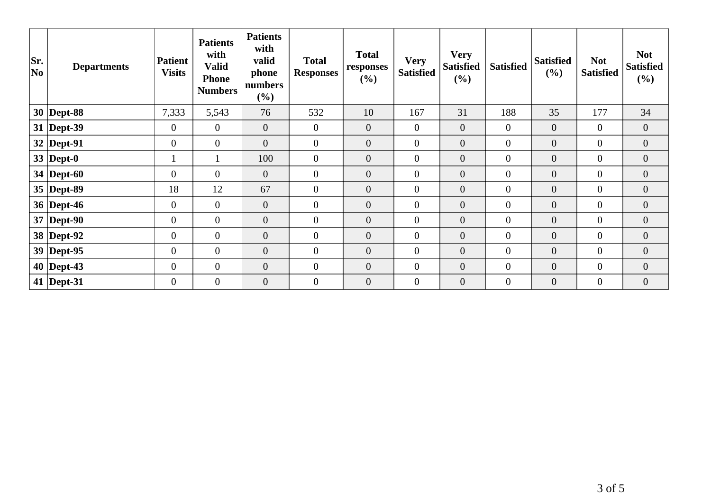| Sr.<br> No | <b>Departments</b> | <b>Patient</b><br><b>Visits</b> | <b>Patients</b><br>with<br><b>Valid</b><br><b>Phone</b><br><b>Numbers</b> | <b>Patients</b><br>with<br>valid<br>phone<br>numbers<br>(%) | <b>Total</b><br><b>Responses</b> | <b>Total</b><br>responses<br>(%) | <b>Very</b><br><b>Satisfied</b> | <b>Very</b><br><b>Satisfied</b><br>(%) | <b>Satisfied</b> | <b>Satisfied</b><br>(%) | <b>Not</b><br><b>Satisfied</b> | <b>Not</b><br><b>Satisfied</b><br>$(\%)$ |
|------------|--------------------|---------------------------------|---------------------------------------------------------------------------|-------------------------------------------------------------|----------------------------------|----------------------------------|---------------------------------|----------------------------------------|------------------|-------------------------|--------------------------------|------------------------------------------|
|            | $30$ Dept-88       | 7,333                           | 5,543                                                                     | 76                                                          | 532                              | 10                               | 167                             | 31                                     | 188              | 35                      | 177                            | 34                                       |
|            | $31$ Dept-39       | $\mathbf{0}$                    | $\overline{0}$                                                            | $\mathbf{0}$                                                | $\overline{0}$                   | $\overline{0}$                   | $\overline{0}$                  | $\mathbf{0}$                           | $\overline{0}$   | $\overline{0}$          | $\overline{0}$                 | $\overline{0}$                           |
|            | $32$ Dept-91       | $\overline{0}$                  | $\overline{0}$                                                            | $\overline{0}$                                              | $\overline{0}$                   | $\overline{0}$                   | $\overline{0}$                  | $\overline{0}$                         | $\overline{0}$   | $\boldsymbol{0}$        | $\overline{0}$                 | $\overline{0}$                           |
|            | 33   Dept-0        |                                 |                                                                           | 100                                                         | $\mathbf{0}$                     | $\overline{0}$                   | $\mathbf{0}$                    | $\boldsymbol{0}$                       | $\overline{0}$   | $\overline{0}$          | $\overline{0}$                 | $\overline{0}$                           |
|            | 34   Dept-60       | $\overline{0}$                  | $\overline{0}$                                                            | $\mathbf{0}$                                                | $\mathbf{0}$                     | $\boldsymbol{0}$                 | $\boldsymbol{0}$                | $\boldsymbol{0}$                       | $\overline{0}$   | $\boldsymbol{0}$        | $\overline{0}$                 | $\overline{0}$                           |
|            | $35$ Dept-89       | 18                              | 12                                                                        | 67                                                          | $\mathbf{0}$                     | $\overline{0}$                   | $\mathbf{0}$                    | $\overline{0}$                         | $\overline{0}$   | $\overline{0}$          | $\overline{0}$                 | $\overline{0}$                           |
|            | 36   Dept-46       | $\overline{0}$                  | $\overline{0}$                                                            | $\mathbf{0}$                                                | $\overline{0}$                   | $\overline{0}$                   | $\overline{0}$                  | $\overline{0}$                         | $\overline{0}$   | $\overline{0}$          | $\overline{0}$                 | $\overline{0}$                           |
|            | $37$ Dept-90       | $\overline{0}$                  | $\overline{0}$                                                            | $\theta$                                                    | $\mathbf{0}$                     | $\overline{0}$                   | $\mathbf{0}$                    | $\mathbf{0}$                           | $\overline{0}$   | $\overline{0}$          | $\overline{0}$                 | $\overline{0}$                           |
|            | 38 Dept-92         | $\boldsymbol{0}$                | $\overline{0}$                                                            | $\boldsymbol{0}$                                            | $\overline{0}$                   | $\boldsymbol{0}$                 | $\boldsymbol{0}$                | $\boldsymbol{0}$                       | $\overline{0}$   | $\boldsymbol{0}$        | $\boldsymbol{0}$               | $\overline{0}$                           |
|            | $39$ Dept-95       | $\mathbf{0}$                    | $\overline{0}$                                                            | $\mathbf{0}$                                                | $\mathbf{0}$                     | $\overline{0}$                   | $\boldsymbol{0}$                | $\boldsymbol{0}$                       | $\overline{0}$   | $\boldsymbol{0}$        | $\overline{0}$                 | $\boldsymbol{0}$                         |
|            | $40$ Dept-43       | $\mathbf{0}$                    | $\boldsymbol{0}$                                                          | $\overline{0}$                                              | $\mathbf{0}$                     | $\overline{0}$                   | $\boldsymbol{0}$                | $\overline{0}$                         | $\overline{0}$   | $\boldsymbol{0}$        | $\overline{0}$                 | $\overline{0}$                           |
|            | 41   Dept-31       | $\overline{0}$                  | $\overline{0}$                                                            | $\overline{0}$                                              | $\overline{0}$                   | $\overline{0}$                   | $\mathbf{0}$                    | $\overline{0}$                         | $\overline{0}$   | $\overline{0}$          | $\overline{0}$                 | $\overline{0}$                           |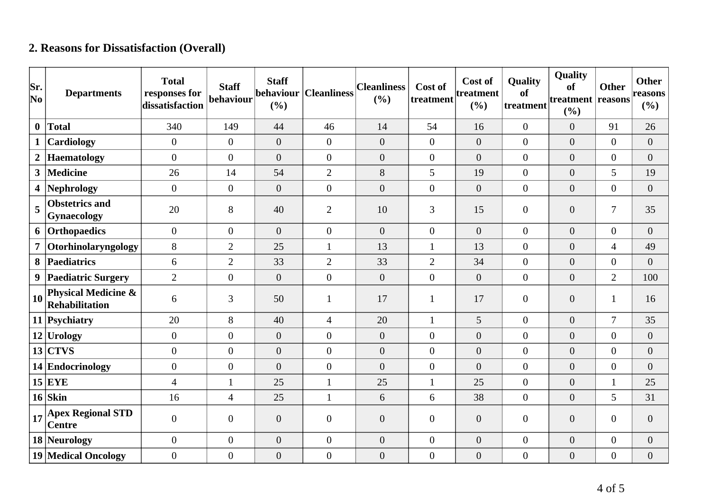## **2. Reasons for Dissatisfaction (Overall)**

| Sr.<br>$ N_{0} $ | <b>Departments</b>                                      | <b>Total</b><br>responses for<br>dissatisfaction | <b>Staff</b><br>behaviour | <b>Staff</b><br>behaviour<br>(%) | <b>Cleanliness</b> | <b>Cleanliness</b><br>(%) | Cost of<br>treatment | Cost of<br>treatment<br>(%) | Quality<br>of<br>treatment | Quality<br>of<br>treatment reasons<br>(%) | <b>Other</b>     | <b>Other</b><br>reasons<br>$(\%)$ |
|------------------|---------------------------------------------------------|--------------------------------------------------|---------------------------|----------------------------------|--------------------|---------------------------|----------------------|-----------------------------|----------------------------|-------------------------------------------|------------------|-----------------------------------|
| $\mathbf{0}$     | <b>Total</b>                                            | 340                                              | 149                       | 44                               | 46                 | 14                        | 54                   | 16                          | $\boldsymbol{0}$           | $\overline{0}$                            | 91               | 26                                |
| $\mathbf{1}$     | Cardiology                                              | $\overline{0}$                                   | $\overline{0}$            | $\overline{0}$                   | $\overline{0}$     | $\boldsymbol{0}$          | $\overline{0}$       | $\boldsymbol{0}$            | $\boldsymbol{0}$           | $\overline{0}$                            | $\overline{0}$   | $\boldsymbol{0}$                  |
| $\boldsymbol{2}$ | <b>Haematology</b>                                      | $\Omega$                                         | $\overline{0}$            | $\overline{0}$                   | $\overline{0}$     | $\overline{0}$            | $\overline{0}$       | $\overline{0}$              | $\overline{0}$             | $\overline{0}$                            | $\overline{0}$   | $\overline{0}$                    |
| 3 <sup>1</sup>   | <b>Medicine</b>                                         | 26                                               | 14                        | 54                               | $\overline{2}$     | $8\,$                     | 5                    | 19                          | $\boldsymbol{0}$           | $\overline{0}$                            | 5                | 19                                |
| 4                | <b>Nephrology</b>                                       | $\overline{0}$                                   | $\boldsymbol{0}$          | $\overline{0}$                   | $\overline{0}$     | $\theta$                  | $\overline{0}$       | $\overline{0}$              | $\boldsymbol{0}$           | $\overline{0}$                            | $\overline{0}$   | $\overline{0}$                    |
| 5                | <b>Obstetrics and</b><br><b>Gynaecology</b>             | 20                                               | 8                         | 40                               | $\overline{2}$     | 10                        | 3                    | 15                          | $\overline{0}$             | $\overline{0}$                            | $\overline{7}$   | 35                                |
| 6                | Orthopaedics                                            | $\overline{0}$                                   | $\overline{0}$            | $\overline{0}$                   | $\overline{0}$     | $\overline{0}$            | $\overline{0}$       | $\overline{0}$              | $\boldsymbol{0}$           | $\overline{0}$                            | $\overline{0}$   | $\overline{0}$                    |
| $\overline{7}$   | Otorhinolaryngology                                     | 8                                                | $\overline{2}$            | 25                               | $\mathbf{1}$       | 13                        |                      | 13                          | $\overline{0}$             | $\overline{0}$                            | $\overline{4}$   | 49                                |
| 8                | Paediatrics                                             | 6                                                | $\overline{2}$            | 33                               | $\overline{2}$     | 33                        | $\overline{2}$       | 34                          | $\boldsymbol{0}$           | $\overline{0}$                            | $\boldsymbol{0}$ | $\overline{0}$                    |
| 9                | <b>Paediatric Surgery</b>                               | $\overline{2}$                                   | $\boldsymbol{0}$          | $\overline{0}$                   | $\overline{0}$     | $\overline{0}$            | $\overline{0}$       | $\overline{0}$              | $\overline{0}$             | $\overline{0}$                            | $\overline{2}$   | 100                               |
| <b>10</b>        | <b>Physical Medicine &amp;</b><br><b>Rehabilitation</b> | 6                                                | 3                         | 50                               | $\mathbf{1}$       | 17                        | 1                    | 17                          | $\boldsymbol{0}$           | $\overline{0}$                            | $\mathbf{1}$     | 16                                |
|                  | 11 Psychiatry                                           | 20                                               | 8                         | 40                               | $\overline{4}$     | 20                        | $\mathbf{1}$         | 5                           | $\overline{0}$             | $\overline{0}$                            | $\overline{7}$   | 35                                |
|                  | $12$ Urology                                            | $\Omega$                                         | $\overline{0}$            | $\overline{0}$                   | $\overline{0}$     | $\overline{0}$            | $\overline{0}$       | $\overline{0}$              | $\overline{0}$             | $\overline{0}$                            | $\overline{0}$   | $\overline{0}$                    |
|                  | $13$ CTVS                                               | $\mathbf{0}$                                     | $\overline{0}$            | $\boldsymbol{0}$                 | $\overline{0}$     | $\overline{0}$            | $\overline{0}$       | $\overline{0}$              | $\overline{0}$             | $\overline{0}$                            | $\boldsymbol{0}$ | $\boldsymbol{0}$                  |
|                  | 14 Endocrinology                                        | $\overline{0}$                                   | $\overline{0}$            | $\overline{0}$                   | $\overline{0}$     | $\theta$                  | $\overline{0}$       | $\overline{0}$              | $\overline{0}$             | $\overline{0}$                            | $\boldsymbol{0}$ | $\overline{0}$                    |
|                  | $15$ EYE                                                | $\overline{4}$                                   | 1                         | 25                               | $\mathbf{1}$       | 25                        | 1                    | 25                          | $\overline{0}$             | $\overline{0}$                            | $\mathbf{1}$     | 25                                |
|                  | $16$ Skin                                               | 16                                               | $\overline{4}$            | 25                               | $\mathbf{1}$       | 6                         | 6                    | 38                          | $\overline{0}$             | $\overline{0}$                            | 5                | 31                                |
| 17               | <b>Apex Regional STD</b><br><b>Centre</b>               | $\theta$                                         | $\overline{0}$            | $\boldsymbol{0}$                 | $\overline{0}$     | $\boldsymbol{0}$          | $\overline{0}$       | $\boldsymbol{0}$            | $\overline{0}$             | $\overline{0}$                            | $\boldsymbol{0}$ | $\boldsymbol{0}$                  |
|                  | 18 Neurology                                            | $\overline{0}$                                   | $\overline{0}$            | $\boldsymbol{0}$                 | $\overline{0}$     | $\boldsymbol{0}$          | $\overline{0}$       | $\boldsymbol{0}$            | $\overline{0}$             | $\overline{0}$                            | $\boldsymbol{0}$ | $\boldsymbol{0}$                  |
|                  | <b>19 Medical Oncology</b>                              | $\overline{0}$                                   | $\boldsymbol{0}$          | $\boldsymbol{0}$                 | $\overline{0}$     | $\boldsymbol{0}$          | $\overline{0}$       | $\boldsymbol{0}$            | $\boldsymbol{0}$           | $\boldsymbol{0}$                          | $\boldsymbol{0}$ | $\boldsymbol{0}$                  |